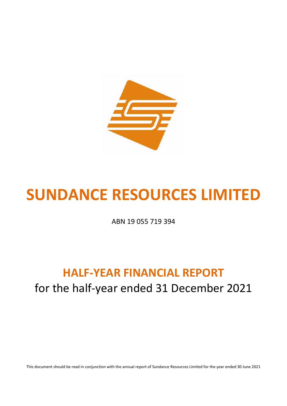

# **SUNDANCE RESOURCES LIMITED**

ABN 19 055 719 394

# **HALF-YEAR FINANCIAL REPORT** for the half-year ended 31 December 2021

This document should be read in conjunction with the annual report of Sundance Resources Limited for the year ended 30 June 2021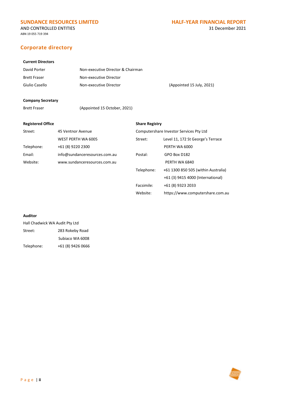### AND CONTROLLED ENTITIES 31 December 2021

ABN 19 055 719 394

# **Corporate directory**

# **Current Directors**

| David Porter        | Non-executive Director & Chairman |                           |
|---------------------|-----------------------------------|---------------------------|
| <b>Brett Fraser</b> | Non-executive Director            |                           |
| Giulio Casello      | Non-executive Director            | (Appointed 15 July, 2021) |

# **Company Secretary**

| Brett Fraser | (Appointed 15 October, 2021) |
|--------------|------------------------------|
|              |                              |

# **Registered Office Share Registry**

Website: [https://www.computershare.com.au](https://www.computershare.com.au/)

| Street:    | 45 Ventnor Avenue             | Computershare Investor Services Pty Ltd |                                     |  |
|------------|-------------------------------|-----------------------------------------|-------------------------------------|--|
|            | WEST PERTH WA 6005            | Street:                                 | Level 11, 172 St George's Terrace   |  |
| Telephone: | +61 (8) 9220 2300             |                                         | PERTH WA 6000                       |  |
| Email:     | info@sundanceresources.com.au | Postal:                                 | GPO Box D182                        |  |
| Website:   | www.sundanceresources.com.au  |                                         | PERTH WA 6840                       |  |
|            |                               | Telephone:                              | +61 1300 850 505 (within Australia) |  |
|            |                               |                                         | +61 (3) 9415 4000 (International)   |  |
|            |                               | Facsimile:                              | +61 (8) 9323 2033                   |  |

## **Auditor**

| Hall Chadwick WA Audit Pty Ltd |                   |  |  |
|--------------------------------|-------------------|--|--|
| Street:                        | 283 Rokeby Road   |  |  |
|                                | Subjaco WA 6008   |  |  |
| Telephone:                     | +61 (8) 9426 0666 |  |  |

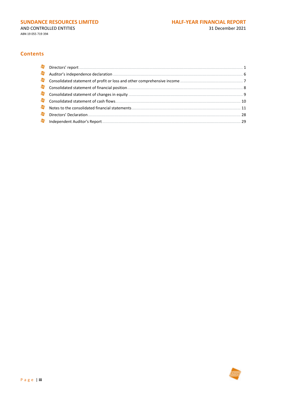AND CONTROLLED ENTITIES

ABN 19 055 719 394

# **Contents**

| <b>G</b> |  |
|----------|--|
| ●        |  |
| 与        |  |
|          |  |
| 与        |  |
| 夸        |  |
| <b>G</b> |  |
| 夸        |  |
|          |  |

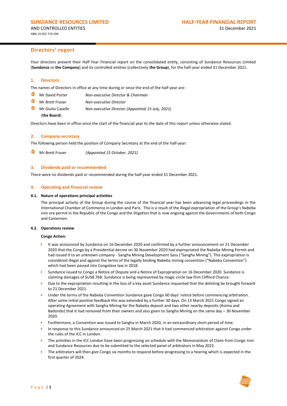Your directors present their Half-Year Financial report on the consolidated entity, consisting of Sundance Resources Limited (**Sundance** or **the Company**) and its controlled entities (collectively **the Group**), for the half-year ended 31 December 2021.

#### **1. Directors**

The names of Directors in office at any time during or since the end of the half-year are:

- Mr David Porter *Non-executive Director & Chairman*
- S Mr Brett Fraser *Non-executive Director*
- Mr Giulio Casello *Non-executive Director (Appointed 15 July, 2021)*

## (**the Board**)

Directors have been in office since the start of the financial year to the date of this report unless otherwise stated.

#### **2. Company secretary**

The following person held the position of Company Secretary at the end of the half-year:

Mr Brett Fraser *(Appointed 15 October, 2021)*

#### **3. Dividends paid or recommended**

There were no dividends paid or recommended during the half-year ended 31 December 2021.

#### **4. Operating and financial review**

#### **4.1. Nature of operations principal activities**

The principal activity of the Group during the course of the financial year has been advancing legal proceedings in the International Chamber of Commerce in London and Paris. This is a result of the illegal expropriation of the Group's Nabeba iron ore permit in the Republic of the Congo and the litigation that is now ongoing against the Governments of both Congo and Cameroon.

#### **4.2. Operations review**

#### **Congo Action:**

- It was announced by Sundance on 16 December 2020 and confirmed by a further announcement on 21 December 2020 that the Congo by a Presidential decree on 30 November 2020 had expropriated the Nabeba Mining Permit and had issued it to an unknown company - Sangha Mining Development Sasu ("Sangha Mining"). This expropriation is considered illegal and against the terms of the legally binding Nabeba mining convention ("Nabeba Convention") which had been passed into Congolese law in 2018.
- Sundance issued to Congo a Notice of Dispute and a Notice of Expropriation on 16 December 2020. Sundance is claiming damages of \$US8.76B. Sundance is being represented by magic circle law firm Clifford Chance.
- Due to the expropriation resulting in the loss of a key asset Sundance requested that the delisting be brought forward to 21 December 2021.
- Under the terms of the Nabeba Convention Sundance gave Congo 60 days' notice before commencing arbitration. After some initial positive feedback this was extended by a further 30 days. On 13 March 2021 Congo signed an operating Agreement with Sangha Mining for the Nabeba deposit and two other nearby deposits (Avima and Badondo) that it had removed from their owners and also given to Sangha Mining on the same day – 30 November 2020.
- Furthermore, a Convention was issued to Sangha in March 2020, in an extraordinary short period of time.
- In response to this Sundance announced on 25 March 2021 that it had commenced arbitration against Congo under the rules of the ICC in London.
- The activities in the ICC London have been progressing on schedule with the Memorandum of Claim from Congo Iron and Sundance Resources due to be submitted to the selected panel of arbitrators in May 2022.
- The arbitrators will then give Congo six months to respond before progressing to a hearing which is expected in the first quarter of 2024.

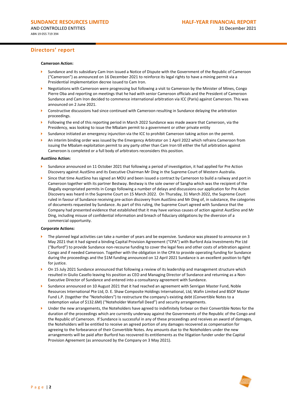#### **Cameroon Action:**

- Sundance and its subsidiary Cam Iron issued a Notice of Dispute with the Government of the Republic of Cameroon ("Cameroon") as announced on 16 December 2021 to reinforce its legal rights to have a mining permit via a Presidential implementation decree issued to Cam Iron.
- Negotiations with Cameroon were progressing but following a visit to Cameroon by the Minister of Mines, Congo Pierre Oba and reporting on meetings that he had with senior Cameroon officials and the President of Cameroon Sundance and Cam Iron decided to commence international arbitration via ICC (Paris) against Cameroon. This was announced on 2 June 2021.
- Constructive discussions had since continued with Cameroon resulting in Sundance delaying the arbitration proceedings.
- Following the end of this reporting period in March 2022 Sundance was made aware that Cameroon, via the Presidency, was looking to issue the Mbalam permit to a government or other private entity
- Sundance initiated an emergency injunction via the ICC to prohibit Cameroon taking action on the permit.
- An interim binding order was issued by the Emergency Arbitrator on 1 April 2022 which refrains Cameroon from issuing the Mbalam exploitation permit to any party other than Cam Iron till either the full arbitration against Cameroon is completed or a full body of arbitrators reconsiders this position.

#### **AustSino Action:**

- Sundance announced on 11 October 2021 that following a period of investigation, it had applied for Pre Action Discovery against AustSino and its Executive Chairman Mr Ding in the Supreme Court of Western Australia.
- Since that time AustSino has signed an MOU and been issued a contract by Cameroon to build a railway and port in Cameroon together with its partner Bestway. Bestway is the sole owner of Sangha which was the recipient of the illegally expropriated permits in Congo following a number of delays and discussions our application for Pre Action Discovery was heard in the Supreme Court on 15 March 2022. On Thursday, 31 March 2022, the Supreme Court ruled in favour of Sundance receiving pre-action discovery from AustSino and Mr Ding of, in substance, the categories of documents requested by Sundance. As part of this ruling, the Supreme Court agreed with Sundance that the Company had presented evidence that established that it may have various causes of action against AustSino and Mr Ding, including misuse of confidential information and breach of fiduciary obligations by the diversion of a commercial opportunity.

#### **Corporate Actions:**

- The planned legal activities can take a number of years and be expensive. Sundance was pleased to announce on 3 May 2021 that it had signed a binding Capital Provision Agreement ("CPA") with Burford Asia Investments Pte Ltd ("Burford") to provide Sundance non-recourse funding to cover the legal fees and other costs of arbitration against Congo and if needed Cameroon. Together with the obligation in the CPA to provide operating funding for Sundance during the proceedings and the \$1M funding announced on 12 April 2021 Sundance is an excellent position to fight for justice.
- On 15 July 2021 Sundance announced that following a review of its leadership and management structure which resulted in Giulio Casello leaving his position as CEO and Managing Director of Sundance and returning as a Non-Executive Director of Sundance and entered into a consultancy agreement with Sundance.
- Sundance announced on 10 August 2021 that it had reached an agreement with Senrigan Master Fund, Noble Resources International Pte Ltd, D. E. Shaw Composite Holdings International, Ltd, Wafin Limited and BSOF Master Fund L.P. (together the "Noteholders") to restructure the company's existing debt (Convertible Notes to a redemption value of \$132.6M) ("Noteholder Waterfall Deed") and security arrangements.
- Under the new arrangements, the Noteholders have agreed to indefinitely forbear on their Convertible Notes for the duration of the proceedings which are currently underway against the Governments of the Republic of the Congo and the Republic of Cameroon. If Sundance is successful in any of these proceedings and receives an award of damages, the Noteholders will be entitled to receive an agreed portion of any damages recovered as compensation for agreeing to the forbearance of their Convertible Notes. Any amounts due to the Noteholders under the new arrangements will be paid after Burford has recovered its entitlements as the litigation funder under the Capital Provision Agreement (as announced by the Company on 3 May 2021).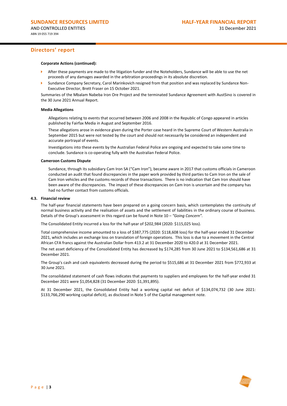#### **Corporate Actions (continued):**

- After these payments are made to the litigation funder and the Noteholders, Sundance will be able to use the net proceeds of any damages awarded in the arbitration proceedings in its absolute discretion.
- Sundance Company Secretary, Carol Marinkovich resigned from that position and was replaced by Sundance Non-Executive Director, Brett Fraser on 15 October 2021.

Summaries of the Mbalam Nabeba Iron Ore Project and the terminated Sundance Agreement with AustSino is covered in the 30 June 2021 Annual Report.

#### **Media Allegations**

Allegations relating to events that occurred between 2006 and 2008 in the Republic of Congo appeared in articles published by Fairfax Media in August and September 2016.

These allegations arose in evidence given during the Porter case heard in the Supreme Court of Western Australia in September 2015 but were not tested by the court and should not necessarily be considered an independent and accurate portrayal of events.

Investigations into these events by the Australian Federal Police are ongoing and expected to take some time to conclude. Sundance is co-operating fully with the Australian Federal Police.

#### **Cameroon Customs Dispute**

Sundance, through its subsidiary Cam Iron SA ("Cam Iron"), became aware in 2017 that customs officials in Cameroon conducted an audit that found discrepancies in the paper work provided by third parties to Cam Iron on the sale of Cam Iron vehicles and the customs records of those transactions. There is no indication that Cam Iron should have been aware of the discrepancies. The impact of these discrepancies on Cam Iron is uncertain and the company has had no further contact from customs officials.

#### **4.3. Financial review**

The half-year financial statements have been prepared on a going concern basis, which contemplates the continuity of normal business activity and the realisation of assets and the settlement of liabilities in the ordinary course of business. Details of the Group's assessment in this regard can be found in Note 10 – *"Going Concern".*

The Consolidated Entity incurred a loss for the half-year of \$202,984 (2020: \$115,025 loss).

Total comprehensive income amounted to a loss of \$387,775 (2020: \$118,608 loss) for the half-year ended 31 December 2021, which includes an exchange loss on translation of foreign operations. This loss is due to a movement in the Central African CFA francs against the Australian Dollar from 413.2 at 31 December 2020 to 420.0 at 31 December 2021.

The net asset deficiency of the Consolidated Entity has decreased by \$174,285 from 30 June 2021 to \$134,561,686 at 31 December 2021.

The Group's cash and cash equivalents decreased during the period to \$515,686 at 31 December 2021 from \$772,933 at 30 June 2021.

The consolidated statement of cash flows indicates that payments to suppliers and employees for the half-year ended 31 December 2021 were \$1,054,828 (31 December 2020: \$1,391,895).

At 31 December 2021, the Consolidated Entity had a working capital net deficit of \$134,074,732 (30 June 2021: \$133,766,290 working capital deficit), as disclosed in Note 5 of the Capital management note.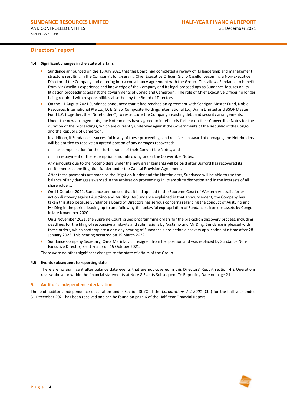#### **4.4. Significant changes in the state of affairs**

- Sundance announced on the 15 July 2021 that the Board had completed a review of its leadership and management structure resulting in the Company's long-serving Chief Executive Officer, Giulio Casello, becoming a Non-Executive Director of the Company and entering into a consultancy agreement with the Group. This allows Sundance to benefit from Mr Casello's experience and knowledge of the Company and its legal proceedings as Sundance focuses on its litigation proceedings against the governments of Congo and Cameroon. The role of Chief Executive Officer no longer being required with responsibilities absorbed by the Board of Directors.
- On the 11 August 2021 Sundance announced that it had reached an agreement with Senrigan Master Fund, Noble Resources International Pte Ltd, D. E. Shaw Composite Holdings International Ltd, Wafin Limited and BSOF Master Fund L.P. (together, the "Noteholders") to restructure the Company's existing debt and security arrangements. Under the new arrangements, the Noteholders have agreed to indefinitely forbear on their Convertible Notes for the duration of the proceedings, which are currently underway against the Governments of the Republic of the Congo and the Republic of Cameroon.

In addition, if Sundance is successful in any of these proceedings and receives an award of damages, the Noteholders will be entitled to receive an agreed portion of any damages recovered:

- o as compensation for their forbearance of their Convertible Notes, and
- o in repayment of the redemption amounts owing under the Convertible Notes.

Any amounts due to the Noteholders under the new arrangements will be paid after Burford has recovered its entitlements as the litigation funder under the Capital Provision Agreement.

After these payments are made to the litigation funder and the Noteholders, Sundance will be able to use the balance of any damages awarded in the arbitration proceedings in its absolute discretion and in the interests of all shareholders.

 On 11 October 2021, Sundance announced that it had applied to the Supreme Court of Western Australia for preaction discovery against AustSino and Mr Ding. As Sundance explained in that announcement, the Company has taken this step because Sundance's Board of Directors has serious concerns regarding the conduct of AustSino and Mr Ding in the period leading up to and following the unlawful expropriation of Sundance's iron ore assets by Congo in late November 2020.

On 2 November 2021, the Supreme Court issued programming orders for the pre-action discovery process, including deadlines for the filing of responsive affidavits and submissions by AustSino and Mr Ding. Sundance is pleased with these orders, which contemplate a one-day hearing of Sundance's pre-action discovery application at a time after 28 January 2022. This hearing occurred on 15 March 2022.

 Sundance Company Secretary, Carol Marinkovich resigned from her position and was replaced by Sundance Non-Executive Director, Brett Fraser on 15 October 2021.

There were no other significant changes to the state of affairs of the Group.

#### **4.5. Events subsequent to reporting date**

There are no significant after balance date events that are not covered in this Directors' Report section 4.2 Operations review above or within the financial statements at Note 8 Events Subsequent To Reporting Date on page 21.

#### **5. Auditor's independence declaration**

The lead auditor's independence declaration under Section 307C of the *Corporations Act 2001* (Cth) for the half-year ended 31 December 2021 has been received and can be found on page 6 of the Half-Year Financial Report.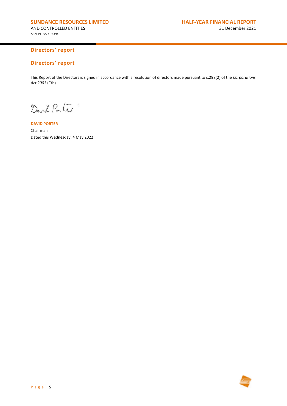# **Directors' report**

This Report of the Directors is signed in accordance with a resolution of directors made pursuant to s.298(2) of the *Corporations Act 2001* (Cth).

David Parte

**DAVID PORTER** Chairman Dated this Wednesday, 4 May 2022

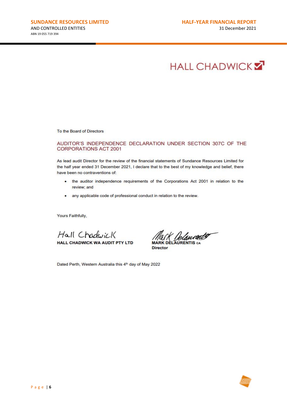# **HALL CHADWICK Z**

To the Board of Directors

### AUDITOR'S INDEPENDENCE DECLARATION UNDER SECTION 307C OF THE **CORPORATIONS ACT 2001**

As lead audit Director for the review of the financial statements of Sundance Resources Limited for the half year ended 31 December 2021, I declare that to the best of my knowledge and belief, there have been no contraventions of:

- the auditor independence requirements of the Corporations Act 2001 in relation to the review; and
- any applicable code of professional conduct in relation to the review.

Yours Faithfully,

Hall Chadwick HALL CHADWICK WA AUDIT PTY LTD

Dated Perth, Western Australia this 4th day of May 2022

Delaurents **MARK DELAURENTIS CA** 

**Director** 

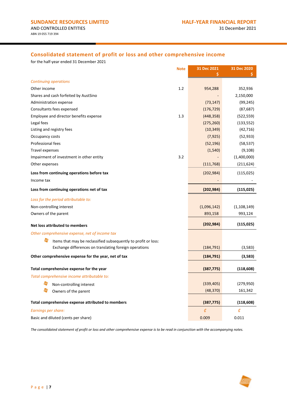# **Consolidated statement of profit or loss and other comprehensive income**

for the half-year ended 31 December 2021

| <b>Note</b>                                                    | 31 Dec 2021 | 31 Dec 2020   |
|----------------------------------------------------------------|-------------|---------------|
|                                                                |             |               |
| <b>Continuing operations</b>                                   |             |               |
| 1.2<br>Other income                                            | 954,288     | 352,936       |
| Shares and cash forfeited by AustSino                          |             | 2,150,000     |
| Administration expense                                         | (73, 147)   | (99, 245)     |
| Consultants fees expensed                                      | (176, 729)  | (87, 687)     |
| Employee and director benefits expense<br>1.3                  | (448, 358)  | (522, 559)    |
| Legal fees                                                     | (275, 260)  | (133, 552)    |
| Listing and registry fees                                      | (10, 349)   | (42, 716)     |
| Occupancy costs                                                | (7, 925)    | (52, 933)     |
| Professional fees                                              | (52, 196)   | (58, 537)     |
| <b>Travel expenses</b>                                         | (1, 540)    | (9, 108)      |
| 3.2<br>Impairment of investment in other entity                |             | (1,400,000)   |
| Other expenses                                                 | (111, 768)  | (211, 624)    |
| Loss from continuing operations before tax                     | (202, 984)  | (115, 025)    |
| Income tax                                                     |             |               |
| Loss from continuing operations net of tax                     | (202, 984)  | (115, 025)    |
| Loss for the period attributable to:                           |             |               |
| Non-controlling interest                                       | (1,096,142) | (1, 108, 149) |
| Owners of the parent                                           | 893,158     | 993,124       |
| <b>Net loss attributed to members</b>                          | (202, 984)  | (115, 025)    |
| Other comprehensive expense, net of income tax                 |             |               |
| Items that may be reclassified subsequently to profit or loss: |             |               |
| Exchange differences on translating foreign operations         | (184, 791)  | (3,583)       |
| Other comprehensive expense for the year, net of tax           | (184, 791)  | (3,583)       |
|                                                                |             |               |
| Total comprehensive expense for the year                       | (387, 775)  | (118, 608)    |
| Total comprehensive income attributable to:                    |             |               |
| Non-controlling interest                                       | (339, 405)  | (279, 950)    |
| Owners of the parent                                           | (48, 370)   | 161,342       |
| Total comprehensive expense attributed to members              | (387, 775)  | (118, 608)    |
| Earnings per share:                                            | ¢           | ¢             |
| Basic and diluted (cents per share)                            | 0.009       | 0.011         |

*The consolidated statement of profit or loss and other comprehensive expense is to be read in conjunction with the accompanying notes.*

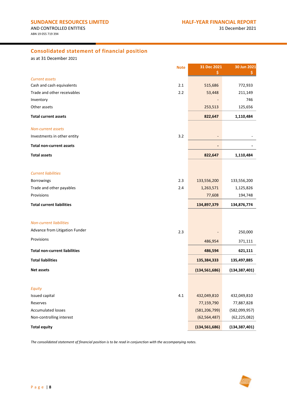# **Consolidated statement of financial position**

as at 31 December 2021

|                                                    | <b>Note</b> | 31 Dec 2021     | 30 Jun 2021     |
|----------------------------------------------------|-------------|-----------------|-----------------|
|                                                    |             | Ś               |                 |
| <b>Current assets</b><br>Cash and cash equivalents | 2.1         | 515,686         | 772,933         |
| Trade and other receivables                        | 2.2         | 53,448          | 211,149         |
| Inventory                                          |             |                 | 746             |
| Other assets                                       |             | 253,513         | 125,656         |
| <b>Total current assets</b>                        |             | 822,647         | 1,110,484       |
| <b>Non-current assets</b>                          |             |                 |                 |
| Investments in other entity                        | 3.2         |                 |                 |
| <b>Total non-current assets</b>                    |             |                 |                 |
| <b>Total assets</b>                                |             | 822,647         | 1,110,484       |
| <b>Current liabilities</b>                         |             |                 |                 |
| Borrowings                                         | 2.3         | 133,556,200     | 133,556,200     |
| Trade and other payables                           | 2.4         | 1,263,571       | 1,125,826       |
| Provisions                                         |             | 77,608          | 194,748         |
| <b>Total current liabilities</b>                   |             | 134,897,379     | 134,876,774     |
| <b>Non-current liabilities</b>                     |             |                 |                 |
| Advance from Litigation Funder                     |             |                 |                 |
|                                                    | 2.3         |                 | 250,000         |
| Provisions                                         |             | 486,954         | 371,111         |
| <b>Total non-current liabilities</b>               |             | 486,594         | 621,111         |
| <b>Total liabilities</b>                           |             | 135,384,333     | 135,497,885     |
| <b>Net assets</b>                                  |             | (134, 561, 686) | (134, 387, 401) |
|                                                    |             |                 |                 |
| Equity                                             |             |                 |                 |
| Issued capital                                     | 4.1         | 432,049,810     | 432,049,810     |
| Reserves                                           |             | 77,159,790      | 77,887,828      |
| <b>Accumulated losses</b>                          |             | (581, 206, 799) | (582,099,957)   |
| Non-controlling interest                           |             | (62, 564, 487)  | (62, 225, 082)  |
| <b>Total equity</b>                                |             | (134, 561, 686) | (134, 387, 401) |

*The consolidated statement of financial position is to be read in conjunction with the accompanying notes.*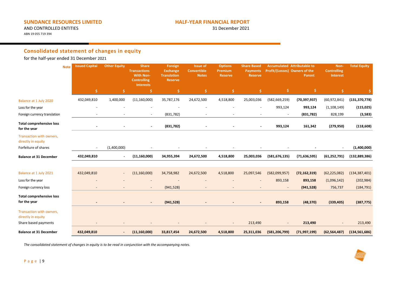# **SUNDANCE RESOURCES LIMITED HALF-YEAR FINANCIAL REPORT**

AND CONTROLLED ENTITIES ABN 19 055 719 394

# **Consolidated statement of changes in equity**

for the half-year ended 31 December 2021

| <b>Note</b>                                     | <b>Issued Capital</b> | <b>Other Equity</b>      | <b>Share</b><br><b>Transactions</b><br><b>With Non-</b><br><b>Controlling</b><br><b>Interests</b> | Foreign<br><b>Exchange</b><br><b>Translation</b><br><b>Reserve</b> | <b>Issue of</b><br><b>Convertible</b><br><b>Notes</b> | <b>Options</b><br>Premium<br><b>Reserve</b> | <b>Share Based</b><br><b>Payments</b><br><b>Reserve</b> | Profit/(Losses) Owners of the | <b>Accumulated Attributable to</b><br>Parent | Non-<br><b>Controlling</b><br>Interest | <b>Total Equity</b> |
|-------------------------------------------------|-----------------------|--------------------------|---------------------------------------------------------------------------------------------------|--------------------------------------------------------------------|-------------------------------------------------------|---------------------------------------------|---------------------------------------------------------|-------------------------------|----------------------------------------------|----------------------------------------|---------------------|
|                                                 | \$                    | S                        | S                                                                                                 |                                                                    | \$                                                    | \$.                                         |                                                         |                               | \$.                                          | Ŝ                                      |                     |
| Balance at 1 July 2020                          | 432,049,810           | 1,400,000                | (11, 160, 000)                                                                                    | 35,787,176                                                         | 24,672,500                                            | 4,518,800                                   | 25,003,036                                              | (582, 669, 259)               | (70, 397, 937)                               | (60, 972, 841)                         | (131, 370, 778)     |
| Loss for the year                               |                       |                          |                                                                                                   |                                                                    |                                                       |                                             |                                                         | 993,124                       | 993,124                                      | (1, 108, 149)                          | (115, 025)          |
| Foreign currency translation                    |                       |                          |                                                                                                   | (831, 782)                                                         |                                                       |                                             |                                                         |                               | (831,782)                                    | 828,199                                | (3,583)             |
| <b>Total comprehensive loss</b><br>for the year | $\blacksquare$        |                          | $\sim$                                                                                            | (831,782)                                                          |                                                       |                                             | $\blacksquare$                                          | 993,124                       | 161,342                                      | (279, 950)                             | (118, 608)          |
| Transaction with owners,<br>directly in equity  |                       |                          |                                                                                                   |                                                                    |                                                       |                                             |                                                         |                               |                                              |                                        |                     |
| Forfeiture of shares                            |                       | (1,400,000)              |                                                                                                   |                                                                    |                                                       |                                             |                                                         |                               |                                              | $\overline{\phantom{a}}$               | (1,400,000)         |
| <b>Balance at 31 December</b>                   | 432,049,810           |                          | (11, 160, 000)                                                                                    | 34,955,394                                                         | 24,672,500                                            | 4,518,800                                   | 25,003,036                                              | (581, 676, 135)               | (71, 636, 595)                               | (61, 252, 791)                         | (132, 889, 386)     |
|                                                 |                       |                          |                                                                                                   |                                                                    |                                                       |                                             |                                                         |                               |                                              |                                        |                     |
| Balance at 1 July 2021                          | 432,049,810           | $\overline{\phantom{a}}$ | (11, 160, 000)                                                                                    | 34,758,982                                                         | 24,672,500                                            | 4,518,800                                   | 25,097,546                                              | (582,099,957)                 | (72, 162, 319)                               | (62, 225, 082)                         | (134, 387, 401)     |
| Loss for the year                               |                       |                          |                                                                                                   |                                                                    |                                                       |                                             |                                                         | 893,158                       | 893,158                                      | (1,096,142)                            | (202, 984)          |
| Foreign currency loss                           |                       |                          |                                                                                                   | (941, 528)                                                         |                                                       |                                             |                                                         |                               | (941, 528)                                   | 756,737                                | (184, 791)          |
| <b>Total comprehensive loss</b><br>for the year |                       |                          | $\sim$                                                                                            | (941, 528)                                                         |                                                       |                                             |                                                         | 893,158                       | (48, 370)                                    | (339, 405)                             | (387, 775)          |
| Transaction with owners,<br>directly in equity  |                       |                          |                                                                                                   |                                                                    |                                                       |                                             |                                                         |                               |                                              |                                        |                     |
| Share based payments                            |                       |                          |                                                                                                   |                                                                    |                                                       |                                             | 213,490                                                 |                               | 213,490                                      |                                        | 213,490             |
| <b>Balance at 31 December</b>                   | 432,049,810           |                          | (11, 160, 000)                                                                                    | 33,817,454                                                         | 24,672,500                                            | 4,518,800                                   | 25,311,036                                              | (581, 206, 799)               | (71, 997, 199)                               | (62, 564, 487)                         | (134, 561, 686)     |

*The consolidated statement of changes in equity is to be read in conjunction with the accompanying notes.*

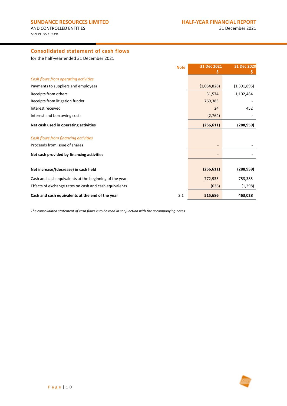# **Consolidated statement of cash flows**

for the half-year ended 31 December 2021

| <b>Note</b>                                             | 31 Dec 2021 | 31 Dec 2020   |
|---------------------------------------------------------|-------------|---------------|
| Cash flows from operating activities                    |             |               |
| Payments to suppliers and employees                     | (1,054,828) | (1, 391, 895) |
| Receipts from others                                    | 31,574      | 1,102,484     |
| Receipts from litigation funder                         | 769,383     |               |
| Interest received                                       | 24          | 452           |
| Interest and borrowing costs                            | (2,764)     |               |
| Net cash used in operating activities                   | (256, 611)  | (288, 959)    |
| Cash flows from financing activities                    |             |               |
| Proceeds from issue of shares                           |             |               |
| Net cash provided by financing activities               |             |               |
|                                                         |             |               |
| Net increase/(decrease) in cash held                    | (256, 611)  | (288, 959)    |
| Cash and cash equivalents at the beginning of the year  | 772,933     | 753,385       |
| Effects of exchange rates on cash and cash equivalents  | (636)       | (1, 398)      |
| Cash and cash equivalents at the end of the year<br>2.1 | 515,686     | 463,028       |

*The consolidated statement of cash flows is to be read in conjunction with the accompanying notes.*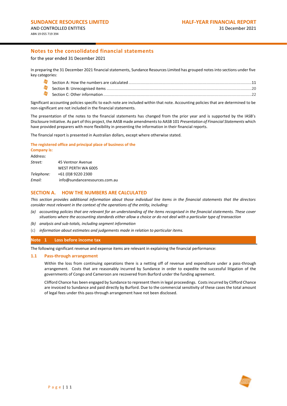for the year ended 31 December 2021

In preparing the 31 December 2021 financial statements, Sundance Resources Limited has grouped notes into sections under five key categories:

Significant accounting policies specific to each note are included within that note. Accounting policies that are determined to be non-significant are not included in the financial statements.

The presentation of the notes to the financial statements has changed from the prior year and is supported by the IASB's Disclosure Initiative. As part of this project, the AASB made amendments to AASB 101 *Presentation of Financial Statements* which have provided preparers with more flexibility in presenting the information in their financial reports.

The financial report is presented in Australian dollars, except where otherwise stated.

#### **The registered office and principal place of business of the**

| <b>Company is:</b> |                               |
|--------------------|-------------------------------|
| Address:           |                               |
| Street:            | 45 Ventnor Avenue             |
|                    | WEST PERTH WA 6005            |
| Telephone:         | +61 (0)8 9220 2300            |
| Email:             | info@sundanceresources.com.au |

### **SECTION A. HOW THE NUMBERS ARE CALCULATED**

*This section provides additional information about those individual line items in the financial statements that the directors consider most relevant in the context of the operations of the entity, including:*

- *(a) accounting policies that are relevant for an understanding of the items recognised in the financial statements. These cover situations where the accounting standards either allow a choice or do not deal with a particular type of transaction*
- *(b) analysis and sub-totals, including segment information*
- (c) *information about estimates and judgements made in relation to particular items.*

#### **Note 1 Loss before income tax**

The following significant revenue and expense items are relevant in explaining the financial performance:

#### **1.1 Pass-through arrangement**

Within the loss from continuing operations there is a netting off of revenue and expenditure under a pass-through arrangement. Costs that are reasonably incurred by Sundance in order to expedite the successful litigation of the governments of Congo and Cameroon are recovered from Burford under the funding agreement.

Clifford Chance has been engaged by Sundance to represent them in legal proceedings. Costs incurred by Clifford Chance are invoiced to Sundance and paid directly by Burford. Due to the commercial sensitivity of these cases the total amount of legal fees under this pass-through arrangement have not been disclosed.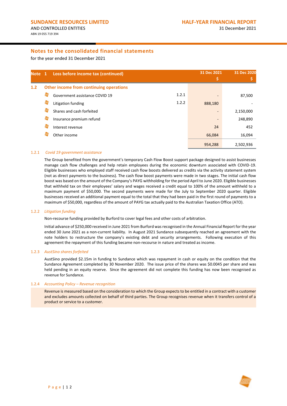for the year ended 31 December 2021

<span id="page-14-0"></span>

| Note 1 |   | Loss before income tax (continued)      | 31 Dec 2021<br>\$ | 31 Dec 2020 |
|--------|---|-----------------------------------------|-------------------|-------------|
| 1.2    |   | Other income from continuing operations |                   |             |
|        |   | 1.2.1<br>Government assistance COVID 19 |                   | 87,500      |
|        | 5 | 1.2.2<br>Litigation funding             | 888,180           |             |
|        |   | Shares and cash forfeited               |                   | 2,150,000   |
|        | 5 | Insurance premium refund                | ٠                 | 248,890     |
|        | S | Interest revenue                        | 24                | 452         |
|        |   | Other income                            | 66,084            | 16,094      |
|        |   |                                         | 954,288           | 2,502,936   |

#### 1.2.1 *Covid 19 government assistance*

<span id="page-14-1"></span>The Group benefited from the government's temporary Cash Flow Boost support package designed to assist businesses manage cash flow challenges and help retain employees during the economic downturn associated with COVID-19. Eligible businesses who employed staff received cash flow boosts delivered as credits via the activity statement system (not as direct payments to the business). The cash flow boost payments were made in two stages. The initial cash flow boost was based on the amount of the Company's PAYG withholding for the period April to June 2020. Eligible businesses that withheld tax on their employees' salary and wages received a credit equal to 100% of the amount withheld to a maximum payment of \$50,000. The second payments were made for the July to September 2020 quarter. Eligible businesses received an additional payment equal to the total that they had been paid in the first round of payments to a maximum of \$50,000, regardless of the amount of PAYG tax actually paid to the Australian Taxation Office (ATO).

#### <span id="page-14-2"></span>1.2.2 *Litigation funding*

Non-recourse funding provided by Burford to cover legal fees and other costs of arbitration.

Initial advance of \$250,000 received in June 2021 from Burford was recognised in the Annual Financial Report for the year ended 30 June 2021 as a non-current liability. In August 2021 Sundance subsequently reached an agreement with the note holders to restructure the company's existing debt and security arrangements. Following execution of this agreement the repayment of this funding became non-recourse in nature and treated as income.

#### 1.2.3 *AustSino shares forfeited*

AustSino provided \$2.15m in funding to Sundance which was repayment in cash or equity on the condition that the Sundance Agreement completed by 30 November 2020. The issue price of the shares was \$0.0045 per share and was held pending in an equity reserve. Since the agreement did not complete this funding has now been recognised as revenue for Sundance.

#### 1.2.4 *Accounting Policy – Revenue recognition*

Revenue is measured based on the consideration to which the Group expects to be entitled in a contract with a customer and excludes amounts collected on behalf of third parties. The Group recognises revenue when it transfers control of a product or service to a customer.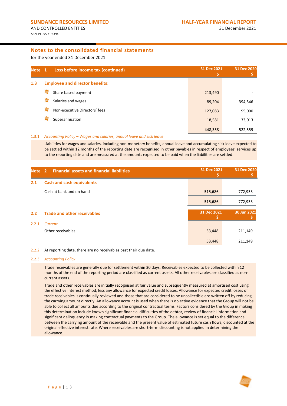for the year ended 31 December 2021

<span id="page-15-0"></span>

| Note <sub>1</sub> |   | Loss before income tax (continued)     | 31 Dec 2021 | 31 Dec 2020 |
|-------------------|---|----------------------------------------|-------------|-------------|
| 1.3               |   | <b>Employee and director benefits:</b> |             |             |
|                   | 夸 | Share based payment                    | 213,490     |             |
|                   | 与 | Salaries and wages                     | 89,204      | 394,546     |
|                   | 与 | Non-executive Directors' fees          | 127,083     | 95,000      |
|                   |   | Superannuation                         | 18,581      | 33,013      |
|                   |   |                                        | 448,358     | 522,559     |

#### 1.3.1 *Accounting Policy – Wages and salaries, annual leave and sick leave*

Liabilities for wages and salaries, including non-monetary benefits, annual leave and accumulating sick leave expected to be settled within 12 months of the reporting date are recognised in other payables in respect of employees' services up to the reporting date and are measured at the amounts expected to be paid when the liabilities are settled.

<span id="page-15-1"></span>

| <b>Note</b> | <b>Financial assets and financial liabilities</b><br>$\overline{2}$ | 31 Dec 2021 | 31 Dec 2020 |
|-------------|---------------------------------------------------------------------|-------------|-------------|
| 2.1         | <b>Cash and cash equivalents</b>                                    |             |             |
|             | Cash at bank and on hand                                            | 515,686     | 772,933     |
|             |                                                                     | 515,686     | 772,933     |
| 2.2         | <b>Trade and other receivables</b>                                  | 31 Dec 2021 | 30 Jun 2021 |
| 2.2.1       | Current                                                             |             |             |
|             | Other receivables                                                   | 53,448      | 211,149     |
|             |                                                                     | 53,448      | 211,149     |

#### <span id="page-15-2"></span>2.2.2 At reporting date, there are no receivables past their due date.

#### 2.2.3 *Accounting Policy*

Trade receivables are generally due for settlement within 30 days. Receivables expected to be collected within 12 months of the end of the reporting period are classified as current assets. All other receivables are classified as noncurrent assets.

Trade and other receivables are initially recognised at fair value and subsequently measured at amortised cost using the effective interest method, less any allowance for expected credit losses. Allowance for expected credit losses of trade receivables is continually reviewed and those that are considered to be uncollectible are written off by reducing the carrying amount directly. An allowance account is used when there is objective evidence that the Group will not be able to collect all amounts due according to the original contractual terms. Factors considered by the Group in making this determination include known significant financial difficulties of the debtor, review of financial information and significant delinquency in making contractual payments to the Group. The allowance is set equal to the difference between the carrying amount of the receivable and the present value of estimated future cash flows, discounted at the original effective interest rate. Where receivables are short-term discounting is not applied in determining the allowance.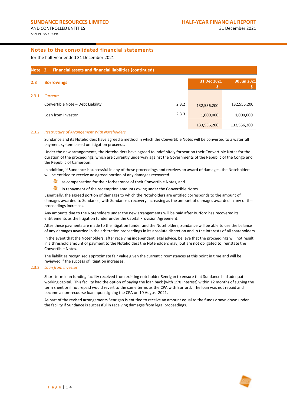for the half-year ended 31 December 2021

<span id="page-16-0"></span>

| Note 2 | <b>Financial assets and financial liabilities (continued)</b> |       |             |             |
|--------|---------------------------------------------------------------|-------|-------------|-------------|
| 2.3    | <b>Borrowings</b>                                             |       | 31 Dec 2021 | 30 Jun 2021 |
| 2.3.1  | Current:                                                      |       |             |             |
|        | Convertible Note - Debt Liability                             | 2.3.2 | 132,556,200 | 132,556,200 |
|        | Loan from investor                                            | 2.3.3 | 1,000,000   | 1,000,000   |
|        |                                                               |       | 133,556,200 | 133,556,200 |

#### <span id="page-16-1"></span>2.3.2 *Restructure of Arrangement With Noteholders*

Sundance and its Noteholders have agreed a method in which the Convertible Notes will be converted to a waterfall payment system based on litigation proceeds.

Under the new arrangements, the Noteholders have agreed to indefinitely forbear on their Convertible Notes for the duration of the proceedings, which are currently underway against the Governments of the Republic of the Congo and the Republic of Cameroon.

In addition, if Sundance is successful in any of these proceedings and receives an award of damages, the Noteholders will be entitled to receive an agreed portion of any damages recovered

- as compensation for their forbearance of their Convertible Notes, and
- $\blacktriangleright$ in repayment of the redemption amounts owing under the Convertible Notes.

Essentially, the agreed portion of damages to which the Noteholders are entitled corresponds to the amount of damages awarded to Sundance, with Sundance's recovery increasing as the amount of damages awarded in any of the proceedings increases.

Any amounts due to the Noteholders under the new arrangements will be paid after Burford has recovered its entitlements as the litigation funder under the Capital Provision Agreement.

After these payments are made to the litigation funder and the Noteholders, Sundance will be able to use the balance of any damages awarded in the arbitration proceedings in its absolute discretion and in the interests of all shareholders.

In the event that the Noteholders, after receiving independent legal advice, believe that the proceedings will not result in a threshold amount of payment to the Noteholders the Noteholders may, but are not obligated to, reinstate the Convertible Notes.

The liabilities recognised approximate fair value given the current circumstances at this point in time and will be reviewed if the success of litigation increases.

#### <span id="page-16-2"></span>2.3.3 *Loan from Investor*

Short term loan funding facility received from existing noteholder Senrigan to ensure that Sundance had adequate working capital. This facility had the option of paying the loan back (with 15% interest) within 12 months of signing the term sheet or if not repaid would revert to the same terms as the CPA with Burford. The loan was not repaid and became a non-recourse loan upon signing the CPA on 10 August 2021.

As part of the revised arrangements Senrigan is entitled to receive an amount equal to the funds drawn down under the facility if Sundance is successful in receiving damages from legal proceedings.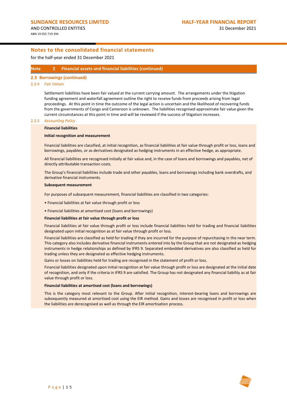for the half-year ended 31 December 2021

### **Note 2 Financial assets and financial liabilities (continued)**

### **2.3 Borrowings (continued)**

#### <span id="page-17-0"></span>2.3.4 *Fair Values*

Settlement liabilities have been fair valued at the current carrying amount. The arrangements under the litigation funding agreement and waterfall agreement outline the right to receive funds from proceeds arising from legal proceedings. At this point in time the outcome of the legal action is uncertain and the likelihood of recovering funds from the governments of Congo and Cameroon is unknown. The liabilities recognised approximate fair value given the current circumstances at this point in time and will be reviewed if the success of litigation increases.

#### 2.3.5 *Accounting Policy*

#### **Financial liabilities**

#### **Initial recognition and measurement**

Financial liabilities are classified, at initial recognition, as financial liabilities at fair value through profit or loss, loans and borrowings, payables, or as derivatives designated as hedging instruments in an effective hedge, as appropriate.

All financial liabilities are recognised initially at fair value and, in the case of loans and borrowings and payables, net of directly attributable transaction costs.

The Group's financial liabilities include trade and other payables, loans and borrowings including bank overdrafts, and derivative financial instruments.

#### **Subsequent measurement**

For purposes of subsequent measurement, financial liabilities are classified in two categories:

- Financial liabilities at fair value through profit or loss
- Financial liabilities at amortised cost (loans and borrowings)

#### **Financial liabilities at fair value through profit or loss**

Financial liabilities at fair value through profit or loss include financial liabilities held for trading and financial liabilities designated upon initial recognition as at fair value through profit or loss.

Financial liabilities are classified as held for trading if they are incurred for the purpose of repurchasing in the near term. This category also includes derivative financial instruments entered into by the Group that are not designated as hedging instruments in hedge relationships as defined by IFRS 9. Separated embedded derivatives are also classified as held for trading unless they are designated as effective hedging instruments.

Gains or losses on liabilities held for trading are recognised in the statement of profit or loss.

Financial liabilities designated upon initial recognition at fair value through profit or loss are designated at the initial date of recognition, and only if the criteria in IFRS 9 are satisfied. The Group has not designated any financial liability as at fair value through profit or loss.

#### **Financial liabilities at amortised cost (loans and borrowings)**

This is the category most relevant to the Group. After initial recognition, interest-bearing loans and borrowings are subsequently measured at amortised cost using the EIR method. Gains and losses are recognised in profit or loss when the liabilities are derecognised as well as through the EIR amortisation process.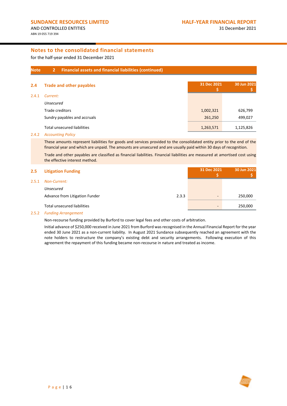**\$**

**30 Jun 2021 \$**

# **Notes to the consolidated financial statements**

for the half-year ended 31 December 2021

#### **Note 2 Financial assets and financial liabilities (continued)**

<span id="page-18-0"></span>

| 2.4   | <b>Trade and other payables</b>    | 31 Dec 2021 | 30 Jun 2021 |
|-------|------------------------------------|-------------|-------------|
| 2.4.1 | Current:                           |             |             |
|       | <b>Unsecured</b>                   |             |             |
|       | Trade creditors                    | 1,002,321   | 626,799     |
|       | Sundry payables and accruals       | 261,250     | 499,027     |
|       | <b>Total unsecured liabilities</b> | 1,263,571   | 1,125,826   |

#### 2.4.2 *Accounting Policy*

These amounts represent liabilities for goods and services provided to the consolidated entity prior to the end of the financial year and which are unpaid. The amounts are unsecured and are usually paid within 30 days of recognition.

Trade and other payables are classified as financial liabilities. Financial liabilities are measured at amortised cost using the effective interest method.

# **2.5 Litigation Funding 31 Dec 2021**

#### 2.5.1 *Non-Current:*

| Non-Current:                          |       |                          |         |
|---------------------------------------|-------|--------------------------|---------|
| Unsecured                             |       |                          |         |
| <b>Advance from Litigation Funder</b> | 2.3.3 | $\overline{\phantom{a}}$ | 250,000 |
| Total unsecured liabilities           |       | $\overline{\phantom{0}}$ | 250,000 |

#### 2.5.2 *Funding Arrangement*

Non-recourse funding provided by Burford to cover legal fees and other costs of arbitration.

Initial advance of \$250,000 received in June 2021 from Burford was recognised in the Annual Financial Report for the year ended 30 June 2021 as a non-current liability. In August 2021 Sundance subsequently reached an agreement with the note holders to restructure the company's existing debt and security arrangements. Following execution of this agreement the repayment of this funding became non-recourse in nature and treated as income.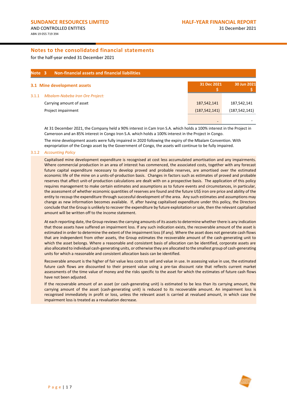for the half-year ended 31 December 2021

| Note 3 | <b>Non-financial assets and financial liabilities</b> |                 |                 |
|--------|-------------------------------------------------------|-----------------|-----------------|
|        | 3.1 Mine development assets                           | 31 Dec 2021     | 30 Jun 2021     |
| 3.1.1  | <b>Mbalam-Nabeba Iron Ore Project:</b>                |                 |                 |
|        | Carrying amount of asset                              | 187,542,141     | 187,542,141     |
|        | Project impairment                                    | (187, 542, 141) | (187, 542, 141) |
|        |                                                       |                 |                 |

At 31 December 2021, the Company held a 90% interest in Cam Iron S.A. which holds a 100% interest in the Project in Cameroon and an 85% interest in Congo Iron S.A. which holds a 100% interest in the Project in Congo.

The mine development assets were fully impaired in 2020 following the expiry of the Mbalam Convention. With expropriation of the Congo asset by the Government of Congo, the assets will continue to be fully impaired.

#### 3.1.2 *Accounting Policy*

Capitalised mine development expenditure is recognised at cost less accumulated amortisation and any impairments. Where commercial production in an area of interest has commenced, the associated costs, together with any forecast future capital expenditure necessary to develop proved and probable reserves, are amortised over the estimated economic life of the mine on a units-of-production basis. Changes in factors such as estimates of proved and probable reserves that affect unit-of production calculations are dealt with on a prospective basis. The application of this policy requires management to make certain estimates and assumptions as to future events and circumstances, in particular, the assessment of whether economic quantities of reserves are found and the future US\$ iron ore price and ability of the entity to recoup the expenditure through successful development of the area. Any such estimates and assumptions may change as new information becomes available. If, after having capitalised expenditure under this policy, the Directors conclude that the Group is unlikely to recover the expenditure by future exploitation or sale, then the relevant capitalised amount will be written off to the income statement.

At each reporting date, the Group reviews the carrying amounts of its assets to determine whether there is any indication that those assets have suffered an impairment loss. If any such indication exists, the recoverable amount of the asset is estimated in order to determine the extent of the impairment loss (if any). Where the asset does not generate cash flows that are independent from other assets, the Group estimates the recoverable amount of the cash-generating unit to which the asset belongs. Where a reasonable and consistent basis of allocation can be identified, corporate assets are also allocated to individual cash-generating units, or otherwise they are allocated to the smallest group of cash-generating units for which a reasonable and consistent allocation basis can be identified.

Recoverable amount is the higher of fair value less costs to sell and value in use. In assessing value in use, the estimated future cash flows are discounted to their present value using a pre-tax discount rate that reflects current market assessments of the time value of money and the risks specific to the asset for which the estimates of future cash flows have not been adjusted.

If the recoverable amount of an asset (or cash-generating unit) is estimated to be less than its carrying amount, the carrying amount of the asset (cash-generating unit) is reduced to its recoverable amount. An impairment loss is recognised immediately in profit or loss, unless the relevant asset is carried at revalued amount, in which case the impairment loss is treated as a revaluation decrease.

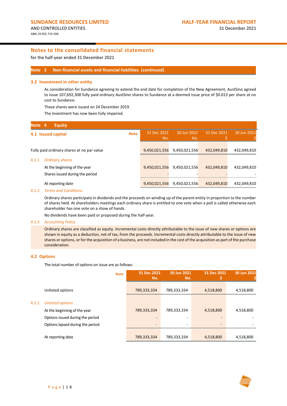for the half-year ended 31 December 2021

#### **Note 3 Non-financial assets and financial liabilities (continued)**

#### <span id="page-20-0"></span>**3.2 Investment in other entity**

As consideration for Sundance agreeing to extend the end date for completion of the New Agreement, AustSino agreed to issue 107,692,308 fully paid ordinary AustSino shares to Sundance at a deemed issue price of \$0.013 per share at no cost to Sundance.

These shares were issued on 24 December 2019.

The investment has now been fully impaired.

<span id="page-20-1"></span>

| Note 4 | <b>Equity</b>                              |             |                    |                    |             |             |
|--------|--------------------------------------------|-------------|--------------------|--------------------|-------------|-------------|
|        | 4.1 Issued capital                         | <b>Note</b> | 31 Dec 2021<br>No. | 30 Jun 2021<br>No. | 31 Dec 2021 | 30 Jun 2021 |
|        | Fully paid ordinary shares at no par value |             | 9,450,021,556      | 9,450,021,556      | 432,049,810 | 432,049,810 |
| 4.1.1  | <b>Ordinary shares</b>                     |             |                    |                    |             |             |
|        | At the beginning of the year               |             | 9,450,021,556      | 9,450,021,556      | 432,049,810 | 432,049,810 |
|        | Shares issued during the period            |             |                    |                    |             |             |
|        | At reporting date                          |             | 9,450,021,556      | 9,450,021,556      | 432,049,810 | 432,049,810 |

#### 4.1.2 *Terms and Conditions*

Ordinary shares participate in dividends and the proceeds on winding up of the parent entity in proportion to the number of shares held. At shareholders meetings each ordinary share is entitled to one vote when a poll is called otherwise each shareholder has one vote on a show of hands.

No dividends have been paid or proposed during the half-year.

#### 4.1.3 *Accounting Policy*

Ordinary shares are classified as equity. Incremental costs directly attributable to the issue of new shares or options are shown in equity as a deduction, net of tax, from the proceeds. Incremental costs directly attributable to the issue of new shares or options, or for the acquisition of a business, are not included in the cost of the acquisition as part of the purchase consideration.

#### **4.2 Options**

The total number of options on issue are as follows:

|       |                                  | <b>Note</b> | 31 Dec 2021<br>No.       | 30 Jun 2021<br>No. | 31 Dec 2021              | 30 Jun 2021 |
|-------|----------------------------------|-------------|--------------------------|--------------------|--------------------------|-------------|
|       | Unlisted options                 |             | 789,333,334              | 789,333,334        | 4,518,800                | 4,518,800   |
| 4.2.1 | <b>Unlisted options</b>          |             |                          |                    |                          |             |
|       | At the beginning of the year     |             | 789,333,334              | 789,333,334        | 4,518,800                | 4,518,800   |
|       | Options issued during the period |             |                          |                    |                          |             |
|       | Options lapsed during the period |             | $\overline{\phantom{a}}$ | ۰                  | $\overline{\phantom{a}}$ |             |
|       |                                  |             |                          |                    |                          |             |
|       | At reporting date                |             | 789,333,334              | 789,333,334        | 4,518,800                | 4,518,800   |

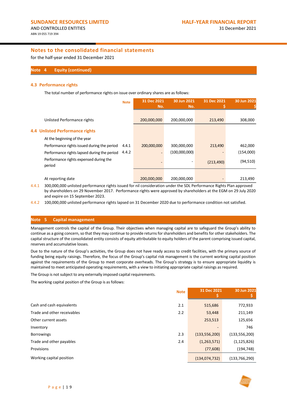for the half-year ended 31 December 2021

#### **Note 4 Equity (continued)**

#### **4.3 Performance rights**

The total number of performance rights on issue over ordinary shares are as follows:

| <b>Note</b>                                          | 31 Dec 2021<br>No. | 30 Jun 2021<br>No. | 31 Dec 2021 | 30 Jun 2021 |
|------------------------------------------------------|--------------------|--------------------|-------------|-------------|
| Unlisted Performance rights                          | 200,000,000        | 200,000,000        | 213,490     | 308,000     |
| <b>4.4 Unlisted Performance rights</b>               |                    |                    |             |             |
| At the beginning of the year                         |                    |                    |             |             |
| Performance rights issued during the period<br>4.4.1 | 200,000,000        | 300,000,000        | 213,490     | 462,000     |
| 4.4.2<br>Performance rights lapsed during the period |                    | (100,000,000)      |             | (154,000)   |
| Performance rights expensed during the<br>period     |                    |                    | (213, 490)  | (94, 510)   |
| At reporting date                                    | 200,000,000        | 200,000,000        |             | 213,490     |

<span id="page-21-0"></span>4.4.1 300,000,000 unlisted performance rights issued for nil consideration under the SDL Performance Rights Plan approved by shareholders on 29 November 2017. Performance rights were approved by shareholders at the EGM on 29 July 2020 and expire on 15 September 2023.

<span id="page-21-1"></span>4.4.2 100,000,000 unlisted performance rights lapsed on 31 December 2020 due to performance condition not satisfied.

### **Note 5 Capital management**

Management controls the capital of the Group. Their objectives when managing capital are to safeguard the Group's ability to continue as a going concern, so that they may continue to provide returns for shareholders and benefits for other stakeholders. The capital structure of the consolidated entity consists of equity attributable to equity holders of the parent comprising issued capital, reserves and accumulative losses.

Due to the nature of the Group's activities, the Group does not have ready access to credit facilities, with the primary source of funding being equity raisings. Therefore, the focus of the Group's capital risk management is the current working capital position against the requirements of the Group to meet corporate overheads. The Group's strategy is to ensure appropriate liquidity is maintained to meet anticipated operating requirements, with a view to initiating appropriate capital raisings as required.

The Group is not subject to any externally imposed capital requirements.

The working capital position of the Group is as follows:

|                             | <b>Note</b> | 31 Dec 2021     | 30 Jun 2021     |
|-----------------------------|-------------|-----------------|-----------------|
| Cash and cash equivalents   | 2.1         | 515,686         | 772,933         |
| Trade and other receivables | 2.2         | 53,448          | 211,149         |
| Other current assets        |             | 253,513         | 125,656         |
| Inventory                   |             |                 | 746             |
| <b>Borrowings</b>           | 2.3         | (133, 556, 200) | (133, 556, 200) |
| Trade and other payables    | 2.4         | (1, 263, 571)   | (1, 125, 826)   |
| Provisions                  |             | (77,608)        | (194, 748)      |
| Working capital position    |             | (134, 074, 732) | (133, 766, 290) |

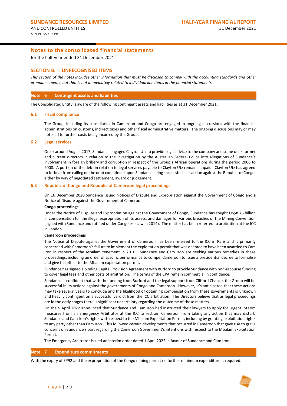for the half-year ended 31 December 2021

### **SECTION B. UNRECOGNISED ITEMS**

*This section of the notes includes other information that must be disclosed to comply with the accounting standards and other pronouncements, but that is not immediately related to individual line items in the financial statements.*

#### **Note 6 Contingent assets and liabilities**

The Consolidated Entity is aware of the following contingent assets and liabilities as at 31 December 2021:

#### **6.1 Fiscal compliance**

The Group, including its subsidiaries in Cameroon and Congo are engaged in ongoing discussions with the financial administrations on customs, indirect taxes and other fiscal administrative matters. The ongoing discussions may or may not lead to further costs being incurred by the Group.

#### **6.2 Legal services**

On or around August 2017, Sundance engaged Clayton Utz to provide legal advice to the company and some of its former and current directors in relation to the investigation by the Australian Federal Police into allegations of Sundance's involvement in foreign bribery and corruption in respect of the Group's African operations during the period 2006 to 2008. A portion of the debt in relation to legal services payable to Clayton Utz remains unpaid. Clayton Utz has agreed to forbear from calling on the debt conditional upon Sundance being successful in its action against the Republic of Congo, either by way of negotiated settlement, award or judgement.

#### **6.3 Republic of Congo and Republic of Cameroon legal proceedings**

On 16 December 2020 Sundance issued Notices of Dispute and Expropriation against the Government of Congo and a Notice of Dispute against the Government of Cameroon.

#### **Congo proceedings**

Under the Notice of Dispute and Expropriation against the Government of Congo, Sundance has sought US\$8.76 billion in compensation for the illegal expropriation of its assets, and damages for various breaches of the Mining Convention (signed with Sundance and ratified under Congolese Law in 2014). The matter has been referred to arbitration at the ICC in London.

#### **Cameroon proceedings**

The Notice of Dispute against the Government of Cameroon has been referred to the ICC in Paris and is primarily concerned with Cameroon's failure to implement the exploitation permit that was deemed to have been awarded to Cam Iron in respect of the Mbalam tenement in 2010. Sundance and Cam Iron are seeking various remedies in these proceedings, including an order of specific performance to compel Cameroon to issue a presidential decree to formalise and give full effect to the Mbalam exploitation permit.

Sundance has signed a binding Capital Provision Agreement with Burford to provide Sundance with non-recourse funding to cover legal fees and other costs of arbitration. The terms of the CPA remain commercial in confidence.

Sundance is confident that with the funding from Burford and the legal support from Clifford Chance, the Group will be successful in its actions against the governments of Congo and Cameroon. However, it's anticipated that these actions may take several years to conclude and the likelihood of obtaining compensation from these governments is unknown and heavily contingent on a successful verdict from the ICC arbitration. The Directors believe that as legal proceedings are in the early stages there is significant uncertainty regarding the outcome of these matters.

On the 5 April 2022 announced that Sundance and Cam Iron had instructed their lawyers to apply for urgent interim measures from an Emergency Arbitrator at the ICC to restrain Cameroon from taking any action that may disturb Sundance and Cam Iron's rights with respect to the Mbalam Exploitation Permit, including by granting exploitation rights to any party other than Cam Iron. This followed certain developments that occurred in Cameroon that gave rise to grave concerns on Sundance's part regarding the Cameroon Government's intentions with respect to the Mbalam Exploitation Permit.

The Emergency Arbitrator issued an interim order dated 1 April 2022 in favour of Sundance and Cam Iron.

#### **Note 7 Expenditure commitments**

With the expiry of EP92 and the expropriation of the Congo mining permit no further minimum expenditure is required.

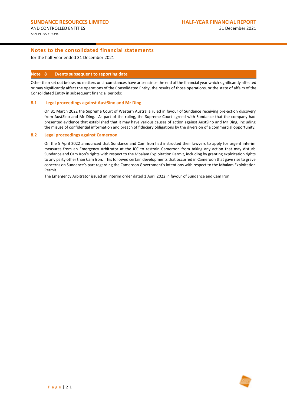for the half-year ended 31 December 2021

#### **Note 8 Events subsequent to reporting date**

Other than set out below, no matters or circumstances have arisen since the end of the financial year which significantly affected or may significantly affect the operations of the Consolidated Entity, the results of those operations, or the state of affairs of the Consolidated Entity in subsequent financial periods:

#### **8.1 Legal proceedings against AustSino and Mr Ding**

On 31 March 2022 the Supreme Court of Western Australia ruled in favour of Sundance receiving pre-action discovery from AustSino and Mr Ding. As part of the ruling, the Supreme Court agreed with Sundance that the company had presented evidence that established that it may have various causes of action against AustSino and Mr Ding, including the misuse of confidential information and breach of fiduciary obligations by the diversion of a commercial opportunity.

#### **8.2 Legal proceedings against Cameroon**

On the 5 April 2022 announced that Sundance and Cam Iron had instructed their lawyers to apply for urgent interim measures from an Emergency Arbitrator at the ICC to restrain Cameroon from taking any action that may disturb Sundance and Cam Iron's rights with respect to the Mbalam Exploitation Permit, including by granting exploitation rights to any party other than Cam Iron. This followed certain developments that occurred in Cameroon that gave rise to grave concerns on Sundance's part regarding the Cameroon Government's intentions with respect to the Mbalam Exploitation Permit.

The Emergency Arbitrator issued an interim order dated 1 April 2022 in favour of Sundance and Cam Iron.

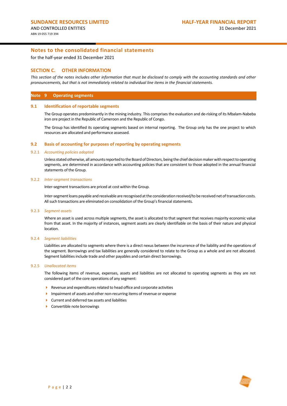for the half-year ended 31 December 2021

#### **SECTION C. OTHER INFORMATION**

*This section of the notes includes other information that must be disclosed to comply with the accounting standards and other pronouncements, but that is not immediately related to individual line items in the financial statements.*

#### **Note 9 Operating segments**

#### **9.1 Identification of reportable segments**

The Group operates predominantly in the mining industry. This comprises the evaluation and de-risking of its Mbalam-Nabeba iron ore project in the Republic of Cameroon and the Republic of Congo.

The Group has identified its operating segments based on internal reporting. The Group only has the one project to which resources are allocated and performance assessed.

#### **9.2 Basis of accounting for purposes of reporting by operating segments**

#### 9.2.1 *Accounting policies adopted*

Unless stated otherwise, all amounts reported to the Board of Directors, being the chief decision maker with respect to operating segments, are determined in accordance with accounting policies that are consistent to those adopted in the annual financial statements of the Group.

#### 9.2.2 *Inter-segment transactions*

Inter-segment transactions are priced at cost within the Group.

Inter-segment loans payable and receivable are recognised at the consideration received/to be received net of transaction costs. All such transactions are eliminated on consolidation of the Group's financial statements.

#### 9.2.3 *Segment assets*

Where an asset is used across multiple segments, the asset is allocated to that segment that receives majority economic value from that asset. In the majority of instances, segment assets are clearly identifiable on the basis of their nature and physical location.

#### 9.2.4 *Segment liabilities*

Liabilities are allocated to segments where there is a direct nexus between the incurrence of the liability and the operations of the segment. Borrowings and tax liabilities are generally considered to relate to the Group as a whole and are not allocated. Segment liabilities include trade and other payables and certain direct borrowings.

#### 9.2.5 *Unallocated items*

The following items of revenue, expenses, assets and liabilities are not allocated to operating segments as they are not considered part of the core operations of any segment:

- Revenue and expenditures related to head office and corporate activities
- Impairment of assets and other non-recurring items of revenue or expense
- Current and deferred tax assets and liabilities
- ▶ Convertible note borrowings

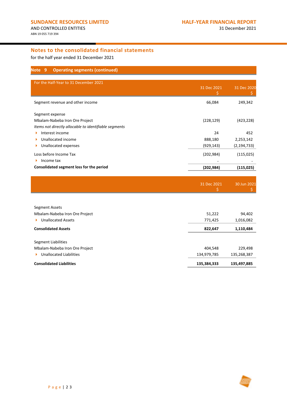for the half year ended 31 December 2021

| <b>Operating segments (continued)</b><br>-9<br>Note                      |                  |               |
|--------------------------------------------------------------------------|------------------|---------------|
| For the Half-Year to 31 December 2021                                    | 31 Dec 2021<br>Ś | 31 Dec 2020   |
| Segment revenue and other income                                         | 66,084           | 249,342       |
| Segment expense                                                          |                  |               |
| Mbalam-Nabeba Iron Ore Project                                           | (228, 129)       | (423, 228)    |
| Items not directly allocable to identifiable segments<br>Interest income | 24               | 452           |
| Unallocated income                                                       | 888,180          | 2,253,142     |
| Unallocated expenses                                                     | (929, 143)       | (2, 194, 733) |
| Loss before Income Tax                                                   | (202, 984)       | (115, 025)    |
| Income tax<br>▶                                                          |                  |               |
| Consolidated segment loss for the period                                 | (202, 984)       | (115, 025)    |
|                                                                          |                  |               |
|                                                                          | 31 Dec 2021      | 30 Jun 2021   |
|                                                                          |                  |               |
| Segment Assets                                                           |                  |               |
| Mbalam-Nabeba Iron Ore Project                                           | 51,222           | 94,402        |
| <b>Unallocated Assets</b>                                                | 771,425          | 1,016,082     |
| <b>Consolidated Assets</b>                                               | 822,647          | 1,110,484     |
| <b>Segment Liabilities</b>                                               |                  |               |
| Mbalam-Nabeba Iron Ore Project                                           | 404,548          | 229,498       |
| <b>Unallocated Liabilities</b>                                           | 134,979,785      | 135,268,387   |
| <b>Consolidated Liabilities</b>                                          | 135,384,333      | 135,497,885   |

r j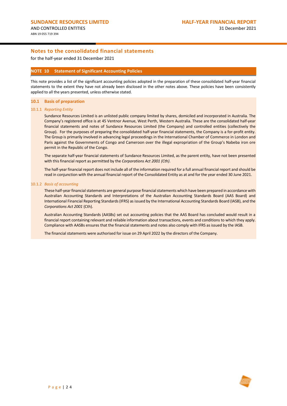for the half-year ended 31 December 2021

#### **NOTE 10 Statement of Significant Accounting Policies**

This note provides a list of the significant accounting policies adopted in the preparation of these consolidated half-year financial statements to the extent they have not already been disclosed in the other notes above. These policies have been consistently applied to all the years presented, unless otherwise stated.

#### **10.1 Basis of preparation**

#### 10.1.1 *Reporting Entity*

Sundance Resources Limited is an unlisted public company limited by shares, domiciled and incorporated in Australia. The Company's registered office is at 45 Ventnor Avenue, West Perth, Western Australia. These are the consolidated half-year financial statements and notes of Sundance Resources Limited (the Company) and controlled entities (collectively the Group). For the purposes of preparing the consolidated half-year financial statements, the Company is a for-profit entity. The Group is primarily involved in advancing legal proceedings in the International Chamber of Commerce in London and Paris against the Governments of Congo and Cameroon over the illegal expropriation of the Group's Nabeba iron ore permit in the Republic of the Congo.

The separate half-year financial statements of Sundance Resources Limited, as the parent entity, have not been presented with this financial report as permitted by the *Corporations Act 2001 (Cth)*.

The half-year financial report does not include all of the information required for a full annual financial report and should be read in conjunction with the annual financial report of the Consolidated Entity as at and for the year ended 30 June 2021.

#### 10.1.2 *Basis of accounting*

These half-year financial statements are general purpose financial statements which have been prepared in accordance with Australian Accounting Standards and Interpretations of the Australian Accounting Standards Board (AAS Board) and International Financial Reporting Standards (IFRS) as issued by the International Accounting Standards Board (IASB), and the *Corporations Act 2001* (Cth).

Australian Accounting Standards (AASBs) set out accounting policies that the AAS Board has concluded would result in a financial report containing relevant and reliable information about transactions, events and conditions to which they apply. Compliance with AASBs ensures that the financial statements and notes also comply with IFRS as issued by the IASB.

The financial statements were authorised for issue on 29 April 2022 by the directors of the Company.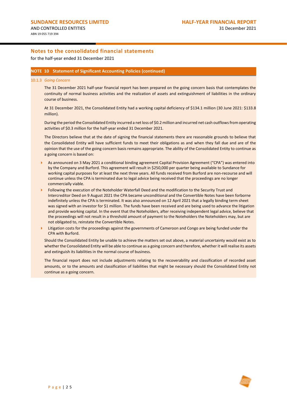for the half-year ended 31 December 2021

#### **NOTE 10 Statement of Significant Accounting Policies (continued)**

#### 10.1.3 *Going Concern*

The 31 December 2021 half-year financial report has been prepared on the going concern basis that contemplates the continuity of normal business activities and the realization of assets and extinguishment of liabilities in the ordinary course of business.

At 31 December 2021, the Consolidated Entity had a working capital deficiency of \$134.1 million (30 June 2021: \$133.8 million).

During the period the Consolidated Entity incurred a net loss of \$0.2 million and incurred net cash outflows from operating activities of \$0.3 million for the half-year ended 31 December 2021.

The Directors believe that at the date of signing the financial statements there are reasonable grounds to believe that the Consolidated Entity will have sufficient funds to meet their obligations as and when they fall due and are of the opinion that the use of the going concern basis remains appropriate. The ability of the Consolidated Entity to continue as a going concern is based on:

- As announced on 3 May 2021 a conditional binding agreement Capital Provision Agreement ("CPA") was entered into by the Company and Burford. This agreement will result in \$250,000 per quarter being available to Sundance for working capital purposes for at least the next three years. All funds received from Burford are non-recourse and will continue unless the CPA is terminated due to legal advice being received that the proceedings are no longer commercially viable.
- Following the execution of the Noteholder Waterfall Deed and the modification to the Security Trust and Intercreditor Deed on 9 August 2021 the CPA became unconditional and the Convertible Notes have been forborne indefinitely unless the CPA is terminated. It was also announced on 12 April 2021 that a legally binding term sheet was signed with an investor for \$1 million. The funds have been received and are being used to advance the litigation and provide working capital. In the event that the Noteholders, after receiving independent legal advice, believe that the proceedings will not result in a threshold amount of payment to the Noteholders the Noteholders may, but are not obligated to, reinstate the Convertible Notes.
- Litigation costs for the proceedings against the governments of Cameroon and Congo are being funded under the CPA with Burford.

Should the Consolidated Entity be unable to achieve the matters set out above, a material uncertainty would exist as to whether the Consolidated Entity will be able to continue as a going concern and therefore, whether it will realise its assets and extinguish its liabilities in the normal course of business.

The financial report does not include adjustments relating to the recoverability and classification of recorded asset amounts, or to the amounts and classification of liabilities that might be necessary should the Consolidated Entity not continue as a going concern.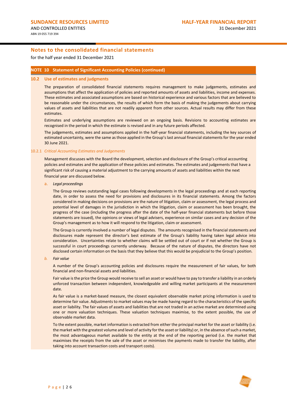for the half year ended 31 December 2021

#### **NOTE 10 Statement of Significant Accounting Policies (continued)**

#### **10.2 Use of estimates and judgments**

The preparation of consolidated financial statements requires management to make judgements, estimates and assumptions that affect the application of policies and reported amounts of assets and liabilities, income and expenses. These estimates and associated assumptions are based on historical experience and various factors that are believed to be reasonable under the circumstances, the results of which form the basis of making the judgements about carrying values of assets and liabilities that are not readily apparent from other sources. Actual results may differ from these estimates.

Estimates and underlying assumptions are reviewed on an ongoing basis. Revisions to accounting estimates are recognised in the period in which the estimate is revised and in any future periods affected.

The judgements, estimates and assumptions applied in the half-year financial statements, including the key sources of estimated uncertainty, were the same as those applied in the Group's last annual financial statements for the year ended 30 June 2021.

#### 10.2.1 *Critical Accounting Estimates and Judgements*

Management discusses with the Board the development, selection and disclosure of the Group's critical accounting policies and estimates and the application of these policies and estimates. The estimates and judgements that have a significant risk of causing a material adjustment to the carrying amounts of assets and liabilities within the next financial year are discussed below.

a. *Legal proceedings*

The Group reviews outstanding legal cases following developments in the legal proceedings and at each reporting date, in order to assess the need for provisions and disclosures in its financial statements. Among the factors considered in making decisions on provisions are the nature of litigation, claim or assessment, the legal process and potential level of damages in the jurisdiction in which the litigation, claim or assessment has been brought, the progress of the case (including the progress after the date of the half-year financial statements but before those statements are issued), the opinions or views of legal advisers, experience on similar cases and any decision of the Group's management as to how it will respond to the litigation, claim or assessment.

The Group is currently involved a number of legal disputes. The amounts recognised in the financial statements and disclosures made represent the director's best estimate of the Group's liability having taken legal advice into consideration. Uncertainties relate to whether claims will be settled out of court or if not whether the Group is successful in court proceedings currently underway. Because of the nature of disputes, the directors have not disclosed certain information on the basis that they believe that this would be prejudicial to the Group's position.

*b. Fair value*

A number of the Group's accounting policies and disclosures require the measurement of fair values, for both financial and non-financial assets and liabilities.

Fair value is the price the Group would receive to sell an asset or would have to pay to transfer a liability in an orderly unforced transaction between independent, knowledgeable and willing market participants at the measurement date.

As fair value is a market-based measure, the closest equivalent observable market pricing information is used to determine fair value. Adjustments to market values may be made having regard to the characteristics of the specific asset or liability. The fair values of assets and liabilities that are not traded in an active market are determined using one or more valuation techniques. These valuation techniques maximise, to the extent possible, the use of observable market data.

To the extent possible, market information is extracted from either the principal market for the asset or liability (i.e. the market with the greatest volume and level of activity for the asset or liability) or, in the absence of such a market, the most advantageous market available to the entity at the end of the reporting period (i.e. the market that maximises the receipts from the sale of the asset or minimises the payments made to transfer the liability, after taking into account transaction costs and transport costs).

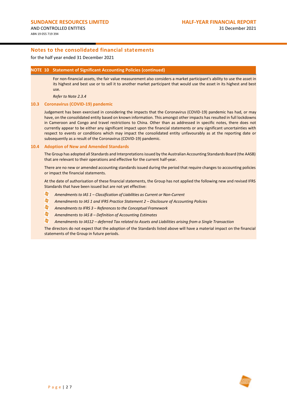for the half year ended 31 December 2021

#### **NOTE 10 Statement of Significant Accounting Policies (continued)**

For non-financial assets, the fair value measurement also considers a market participant's ability to use the asset in its highest and best use or to sell it to another market participant that would use the asset in its highest and best use.

*Refer to Not[e 2.3.4](#page-17-0)*

#### **10.3 Coronavirus (COVID-19) pandemic**

Judgement has been exercised in considering the impacts that the Coronavirus (COVID-19) pandemic has had, or may have, on the consolidated entity based on known information. This amongst other impacts has resulted in full lockdowns in Cameroon and Congo and travel restrictions to China. Other than as addressed in specific notes, there does not currently appear to be either any significant impact upon the financial statements or any significant uncertainties with respect to events or conditions which may impact the consolidated entity unfavourably as at the reporting date or subsequently as a result of the Coronavirus (COVID-19) pandemic.

#### **10.4 Adoption of New and Amended Standards**

The Group has adopted all Standards and Interpretations issued by the Australian Accounting Standards Board (the AASB) that are relevant to their operations and effective for the current half-year.

There are no new or amended accounting standards issued during the period that require changes to accounting policies or impact the financial statements.

At the date of authorisation of these financial statements, the Group has not applied the following new and revised IFRS Standards that have been issued but are not yet effective:

- lê, *Amendments to IAS 1 – Classification of Liabilities as Current or Non-Current*
- ls: *Amendments to IAS 1 and IFRS Practice Statement 2 – Disclosure of Accounting Policies*
- $\blacktriangleright$ *Amendments to IFRS 3 – References to the Conceptual Framework*
- $\blacktriangleright$ *Amendments to IAS 8 – Definition of Accounting Estimates*
- $\leftarrow$ *Amendments to IAS12 – deferred Tax related to Assets and Liabilities arising from a Single Transaction*

The directors do not expect that the adoption of the Standards listed above will have a material impact on the financial statements of the Group in future periods.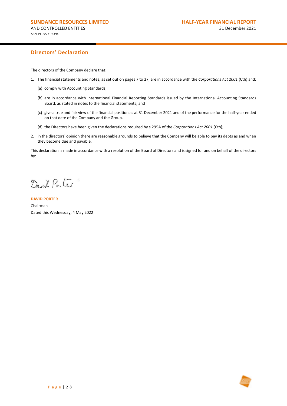# **Directors' Declaration**

The directors of the Company declare that:

- 1. The financial statements and notes, as set out on pages 7 to 27, are in accordance with the *Corporations Act 2001* (Cth) and:
	- (a) comply with Accounting Standards;
	- (b) are in accordance with International Financial Reporting Standards issued by the International Accounting Standards Board, as stated in notes to the financial statements; and
	- (c) give a true and fair view of the financial position as at 31 December 2021 and of the performance for the half-year ended on that date of the Company and the Group.
	- (d) the Directors have been given the declarations required by s.295A of the *Corporations Act 2001* (Cth);
- 2. in the directors' opinion there are reasonable grounds to believe that the Company will be able to pay its debts as and when they become due and payable.

This declaration is made in accordance with a resolution of the Board of Directors and is signed for and on behalf of the directors by:

David Parte

**DAVID PORTER** Chairman Dated this Wednesday, 4 May 2022

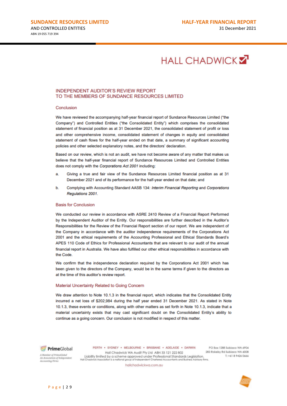# **HALL CHADWICK Z**

### **INDEPENDENT AUDITOR'S REVIEW REPORT** TO THE MEMBERS OF SUNDANCE RESOURCES LIMITED

#### Conclusion

We have reviewed the accompanying half-year financial report of Sundance Resources Limited ("the Company") and Controlled Entities ("the Consolidated Entity") which comprises the consolidated statement of financial position as at 31 December 2021, the consolidated statement of profit or loss and other comprehensive income, consolidated statement of changes in equity and consolidated statement of cash flows for the half-year ended on that date, a summary of significant accounting policies and other selected explanatory notes, and the directors' declaration.

Based on our review, which is not an audit, we have not become aware of any matter that makes us believe that the half-year financial report of Sundance Resources Limited and Controlled Entities does not comply with the Corporations Act 2001 including:

- Giving a true and fair view of the Sundance Resources Limited financial position as at 31 a December 2021 and of its performance for the half-year ended on that date; and
- Complying with Accounting Standard AASB 134: Interim Financial Reporting and Corporations b. Regulations 2001.

#### **Basis for Conclusion**

We conducted our review in accordance with ASRE 2410 Review of a Financial Report Performed by the Independent Auditor of the Entity. Our responsibilities are further described in the Auditor's Responsibilities for the Review of the Financial Report section of our report. We are independent of the Company in accordance with the auditor independence requirements of the Corporations Act 2001 and the ethical requirements of the Accounting Professional and Ethical Standards Board's APES 110 Code of Ethics for Professional Accountants that are relevant to our audit of the annual financial report in Australia. We have also fulfilled our other ethical responsibilities in accordance with the Code

We confirm that the independence declaration required by the Corporations Act 2001 which has been given to the directors of the Company, would be in the same terms if given to the directors as at the time of this auditor's review report.

#### Material Uncertainty Related to Going Concern

We draw attention to Note 10.1.3 in the financial report, which indicates that the Consolidated Entity incurred a net loss of \$202,984 during the half year ended 31 December 2021. As stated in Note 10.1.3, these events or conditions, along with other matters as set forth in Note 10.1.3, indicate that a material uncertainty exists that may cast significant doubt on the Consolidated Entity's ability to continue as a going concern. Our conclusion is not modified in respect of this matter.



PERTH . SYDNEY . MELBOURNE . BRISBANE . ADELAIDE . DARWIN Hall Chadwick WA Audit Pty Ltd ABN 33 121 222 802 Liability limited by a scheme approved under Professional Standards Legislation.<br>Il Chadwick Association is a national group of independent Chartered Accountants and Business Advisory f Hall Chadwick Association

PO Box 1288 Subiaco WA 6904 283 Rokeby Rd Subiaco WA 6008 T: +61 8 9426 0666

A Member of PrimeGlobal An Associat n of Independent nting Firm

hallchadwickwa.com.au